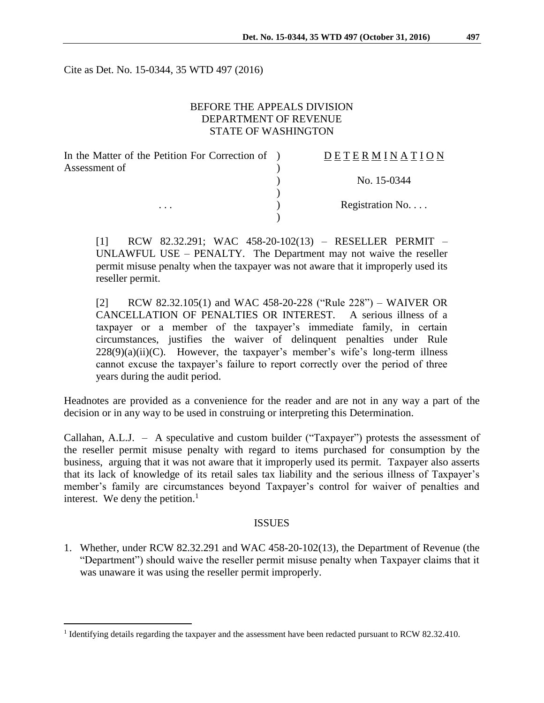Cite as Det. No. 15-0344, 35 WTD 497 (2016)

## BEFORE THE APPEALS DIVISION DEPARTMENT OF REVENUE STATE OF WASHINGTON

| In the Matter of the Petition For Correction of ) | <b>DETERMINATION</b> |
|---------------------------------------------------|----------------------|
| Assessment of                                     |                      |
|                                                   | No. 15-0344          |
|                                                   |                      |
| $\cdots$                                          | Registration No.     |
|                                                   |                      |

[1] RCW 82.32.291; WAC 458-20-102(13) – RESELLER PERMIT – UNLAWFUL USE – PENALTY. The Department may not waive the reseller permit misuse penalty when the taxpayer was not aware that it improperly used its reseller permit.

[2] RCW 82.32.105(1) and WAC 458-20-228 ("Rule 228") – WAIVER OR CANCELLATION OF PENALTIES OR INTEREST. A serious illness of a taxpayer or a member of the taxpayer's immediate family, in certain circumstances, justifies the waiver of delinquent penalties under Rule  $228(9)(a)(ii)(C)$ . However, the taxpayer's member's wife's long-term illness cannot excuse the taxpayer's failure to report correctly over the period of three years during the audit period.

Headnotes are provided as a convenience for the reader and are not in any way a part of the decision or in any way to be used in construing or interpreting this Determination.

Callahan, A.L.J. – A speculative and custom builder ("Taxpayer") protests the assessment of the reseller permit misuse penalty with regard to items purchased for consumption by the business, arguing that it was not aware that it improperly used its permit. Taxpayer also asserts that its lack of knowledge of its retail sales tax liability and the serious illness of Taxpayer's member's family are circumstances beyond Taxpayer's control for waiver of penalties and interest. We deny the petition. $<sup>1</sup>$ </sup>

### ISSUES

1. Whether, under RCW 82.32.291 and WAC 458-20-102(13), the Department of Revenue (the "Department") should waive the reseller permit misuse penalty when Taxpayer claims that it was unaware it was using the reseller permit improperly.

<sup>&</sup>lt;sup>1</sup> Identifying details regarding the taxpayer and the assessment have been redacted pursuant to RCW 82.32.410.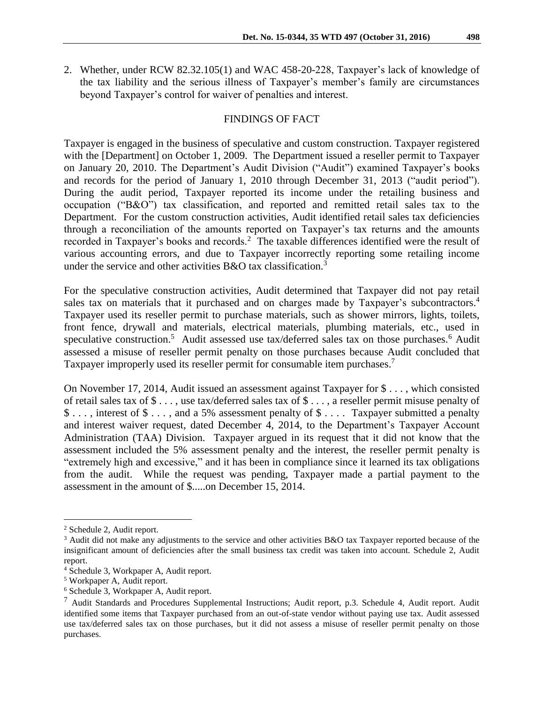2. Whether, under RCW 82.32.105(1) and WAC 458-20-228, Taxpayer's lack of knowledge of the tax liability and the serious illness of Taxpayer's member's family are circumstances beyond Taxpayer's control for waiver of penalties and interest.

## FINDINGS OF FACT

Taxpayer is engaged in the business of speculative and custom construction. Taxpayer registered with the [Department] on October 1, 2009. The Department issued a reseller permit to Taxpayer on January 20, 2010. The Department's Audit Division ("Audit") examined Taxpayer's books and records for the period of January 1, 2010 through December 31, 2013 ("audit period"). During the audit period, Taxpayer reported its income under the retailing business and occupation ("B&O") tax classification, and reported and remitted retail sales tax to the Department. For the custom construction activities, Audit identified retail sales tax deficiencies through a reconciliation of the amounts reported on Taxpayer's tax returns and the amounts recorded in Taxpayer's books and records.<sup>2</sup> The taxable differences identified were the result of various accounting errors, and due to Taxpayer incorrectly reporting some retailing income under the service and other activities  $B&O$  tax classification.<sup>3</sup>

For the speculative construction activities, Audit determined that Taxpayer did not pay retail sales tax on materials that it purchased and on charges made by Taxpayer's subcontractors.<sup>4</sup> Taxpayer used its reseller permit to purchase materials, such as shower mirrors, lights, toilets, front fence, drywall and materials, electrical materials, plumbing materials, etc., used in speculative construction.<sup>5</sup> Audit assessed use tax/deferred sales tax on those purchases.<sup>6</sup> Audit assessed a misuse of reseller permit penalty on those purchases because Audit concluded that Taxpayer improperly used its reseller permit for consumable item purchases.<sup>7</sup>

On November 17, 2014, Audit issued an assessment against Taxpayer for \$ . . . , which consisted of retail sales tax of \$ . . . , use tax/deferred sales tax of \$ . . . , a reseller permit misuse penalty of \$ . . . , interest of \$ . . . , and a 5% assessment penalty of \$ . . . . Taxpayer submitted a penalty and interest waiver request, dated December 4, 2014, to the Department's Taxpayer Account Administration (TAA) Division. Taxpayer argued in its request that it did not know that the assessment included the 5% assessment penalty and the interest, the reseller permit penalty is "extremely high and excessive," and it has been in compliance since it learned its tax obligations from the audit. While the request was pending, Taxpayer made a partial payment to the assessment in the amount of \$.....on December 15, 2014.

<sup>2</sup> Schedule 2, Audit report.

<sup>&</sup>lt;sup>3</sup> Audit did not make any adjustments to the service and other activities B&O tax Taxpayer reported because of the insignificant amount of deficiencies after the small business tax credit was taken into account. Schedule 2, Audit report.

<sup>4</sup> Schedule 3, Workpaper A, Audit report.

<sup>5</sup> Workpaper A, Audit report.

<sup>6</sup> Schedule 3, Workpaper A, Audit report.

<sup>7</sup> Audit Standards and Procedures Supplemental Instructions; Audit report, p.3. Schedule 4, Audit report. Audit identified some items that Taxpayer purchased from an out-of-state vendor without paying use tax. Audit assessed use tax/deferred sales tax on those purchases, but it did not assess a misuse of reseller permit penalty on those purchases.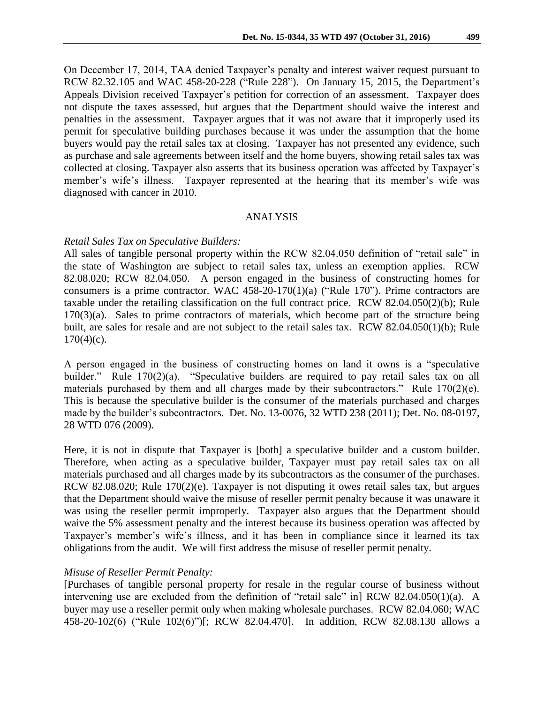On December 17, 2014, TAA denied Taxpayer's penalty and interest waiver request pursuant to RCW 82.32.105 and WAC 458-20-228 ("Rule 228"). On January 15, 2015, the Department's Appeals Division received Taxpayer's petition for correction of an assessment. Taxpayer does not dispute the taxes assessed, but argues that the Department should waive the interest and penalties in the assessment. Taxpayer argues that it was not aware that it improperly used its permit for speculative building purchases because it was under the assumption that the home buyers would pay the retail sales tax at closing. Taxpayer has not presented any evidence, such as purchase and sale agreements between itself and the home buyers, showing retail sales tax was collected at closing. Taxpayer also asserts that its business operation was affected by Taxpayer's member's wife's illness. Taxpayer represented at the hearing that its member's wife was diagnosed with cancer in 2010.

### ANALYSIS

#### *Retail Sales Tax on Speculative Builders:*

All sales of tangible personal property within the RCW 82.04.050 definition of "retail sale" in the state of Washington are subject to retail sales tax, unless an exemption applies. RCW 82.08.020; RCW 82.04.050. A person engaged in the business of constructing homes for consumers is a prime contractor. WAC 458-20-170(1)(a) ("Rule 170"). Prime contractors are taxable under the retailing classification on the full contract price. RCW 82.04.050(2)(b); Rule  $170(3)(a)$ . Sales to prime contractors of materials, which become part of the structure being built, are sales for resale and are not subject to the retail sales tax. RCW 82.04.050(1)(b); Rule  $170(4)(c)$ .

A person engaged in the business of constructing homes on land it owns is a "speculative builder." Rule 170(2)(a). "Speculative builders are required to pay retail sales tax on all materials purchased by them and all charges made by their subcontractors." Rule 170(2)(e). This is because the speculative builder is the consumer of the materials purchased and charges made by the builder's subcontractors. Det. No. 13-0076, 32 WTD 238 (2011); Det. No. 08-0197, 28 WTD 076 (2009).

Here, it is not in dispute that Taxpayer is [both] a speculative builder and a custom builder. Therefore, when acting as a speculative builder, Taxpayer must pay retail sales tax on all materials purchased and all charges made by its subcontractors as the consumer of the purchases. RCW 82.08.020; Rule 170(2)(e). Taxpayer is not disputing it owes retail sales tax, but argues that the Department should waive the misuse of reseller permit penalty because it was unaware it was using the reseller permit improperly. Taxpayer also argues that the Department should waive the 5% assessment penalty and the interest because its business operation was affected by Taxpayer's member's wife's illness, and it has been in compliance since it learned its tax obligations from the audit. We will first address the misuse of reseller permit penalty.

### *Misuse of Reseller Permit Penalty:*

[Purchases of tangible personal property for resale in the regular course of business without intervening use are excluded from the definition of "retail sale" in] RCW 82.04.050(1)(a). A buyer may use a reseller permit only when making wholesale purchases. RCW 82.04.060; WAC 458-20-102(6) ("Rule 102(6)")[; RCW 82.04.470]. In addition, RCW 82.08.130 allows a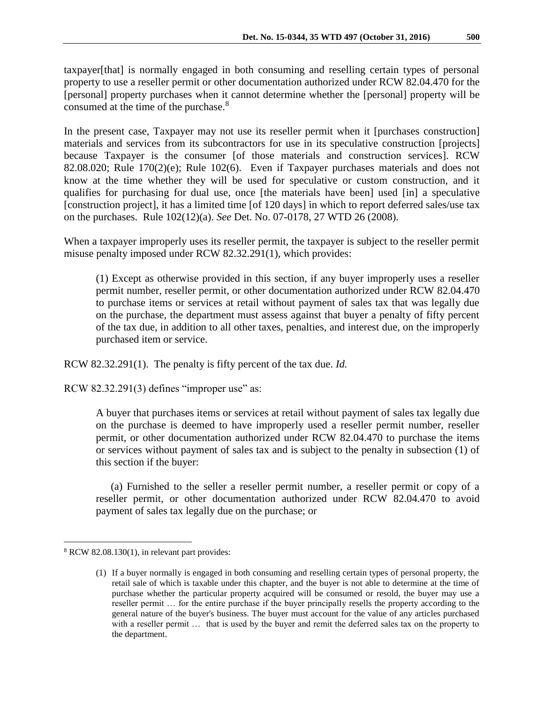taxpayer[that] is normally engaged in both consuming and reselling certain types of personal property to use a reseller permit or other documentation authorized under RCW 82.04.470 for the [personal] property purchases when it cannot determine whether the [personal] property will be consumed at the time of the purchase.<sup>8</sup>

In the present case, Taxpayer may not use its reseller permit when it [purchases construction] materials and services from its subcontractors for use in its speculative construction [projects] because Taxpayer is the consumer [of those materials and construction services]. RCW 82.08.020; Rule 170(2)(e); Rule 102(6). Even if Taxpayer purchases materials and does not know at the time whether they will be used for speculative or custom construction, and it qualifies for purchasing for dual use, once [the materials have been] used [in] a speculative [construction project], it has a limited time [of 120 days] in which to report deferred sales/use tax on the purchases. Rule 102(12)(a). *See* Det. No. 07-0178, 27 WTD 26 (2008).

When a taxpayer improperly uses its reseller permit, the taxpayer is subject to the reseller permit misuse penalty imposed under RCW 82.32.291(1), which provides:

(1) Except as otherwise provided in this section, if any buyer improperly uses a reseller permit number, reseller permit, or other documentation authorized under RCW [82.04.470](http://apps.leg.wa.gov/rcw/default.aspx?cite=82.04.470) to purchase items or services at retail without payment of sales tax that was legally due on the purchase, the department must assess against that buyer a penalty of fifty percent of the tax due, in addition to all other taxes, penalties, and interest due, on the improperly purchased item or service.

RCW 82.32.291(1). The penalty is fifty percent of the tax due. *Id.*

RCW 82.32.291(3) defines "improper use" as:

A buyer that purchases items or services at retail without payment of sales tax legally due on the purchase is deemed to have improperly used a reseller permit number, reseller permit, or other documentation authorized under RCW [82.04.470](http://app.leg.wa.gov/rcw/default.aspx?cite=82.04.470) to purchase the items or services without payment of sales tax and is subject to the penalty in subsection (1) of this section if the buyer:

 (a) Furnished to the seller a reseller permit number, a reseller permit or copy of a reseller permit, or other documentation authorized under RCW [82.04.470](http://app.leg.wa.gov/rcw/default.aspx?cite=82.04.470) to avoid payment of sales tax legally due on the purchase; or

<sup>8</sup> RCW 82.08.130(1), in relevant part provides:

<sup>(1)</sup> If a buyer normally is engaged in both consuming and reselling certain types of personal property, the retail sale of which is taxable under this chapter, and the buyer is not able to determine at the time of purchase whether the particular property acquired will be consumed or resold, the buyer may use a reseller permit … for the entire purchase if the buyer principally resells the property according to the general nature of the buyer's business. The buyer must account for the value of any articles purchased with a reseller permit … that is used by the buyer and remit the deferred sales tax on the property to the department.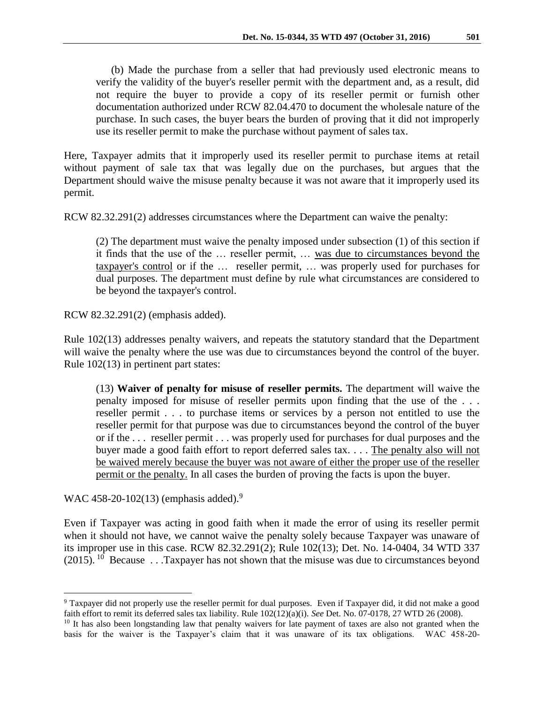(b) Made the purchase from a seller that had previously used electronic means to verify the validity of the buyer's reseller permit with the department and, as a result, did not require the buyer to provide a copy of its reseller permit or furnish other documentation authorized under RCW [82.04.470](http://app.leg.wa.gov/rcw/default.aspx?cite=82.04.470) to document the wholesale nature of the purchase. In such cases, the buyer bears the burden of proving that it did not improperly use its reseller permit to make the purchase without payment of sales tax.

Here, Taxpayer admits that it improperly used its reseller permit to purchase items at retail without payment of sale tax that was legally due on the purchases, but argues that the Department should waive the misuse penalty because it was not aware that it improperly used its permit.

RCW 82.32.291(2) addresses circumstances where the Department can waive the penalty:

(2) The department must waive the penalty imposed under subsection (1) of this section if it finds that the use of the … reseller permit, … was due to circumstances beyond the taxpayer's control or if the … reseller permit, … was properly used for purchases for dual purposes. The department must define by rule what circumstances are considered to be beyond the taxpayer's control.

RCW 82.32.291(2) (emphasis added).

Rule 102(13) addresses penalty waivers, and repeats the statutory standard that the Department will waive the penalty where the use was due to circumstances beyond the control of the buyer. Rule 102(13) in pertinent part states:

(13) **Waiver of penalty for misuse of reseller permits.** The department will waive the penalty imposed for misuse of reseller permits upon finding that the use of the . . . reseller permit . . . to purchase items or services by a person not entitled to use the reseller permit for that purpose was due to circumstances beyond the control of the buyer or if the . . . reseller permit . . . was properly used for purchases for dual purposes and the buyer made a good faith effort to report deferred sales tax. . . . The penalty also will not be waived merely because the buyer was not aware of either the proper use of the reseller permit or the penalty. In all cases the burden of proving the facts is upon the buyer.

WAC 458-20-102(13) (emphasis added).<sup>9</sup>

 $\overline{a}$ 

Even if Taxpayer was acting in good faith when it made the error of using its reseller permit when it should not have, we cannot waive the penalty solely because Taxpayer was unaware of its improper use in this case. RCW 82.32.291(2); Rule 102(13); Det. No. 14-0404, 34 WTD 337  $(2015)$ . <sup>10</sup> Because . . .Taxpayer has not shown that the misuse was due to circumstances beyond

<sup>9</sup> Taxpayer did not properly use the reseller permit for dual purposes. Even if Taxpayer did, it did not make a good faith effort to remit its deferred sales tax liability. Rule 102(12)(a)(i). *See* Det. No. 07-0178, 27 WTD 26 (2008).

<sup>&</sup>lt;sup>10</sup> It has also been longstanding law that penalty waivers for late payment of taxes are also not granted when the basis for the waiver is the Taxpayer's claim that it was unaware of its tax obligations. WAC 458-20-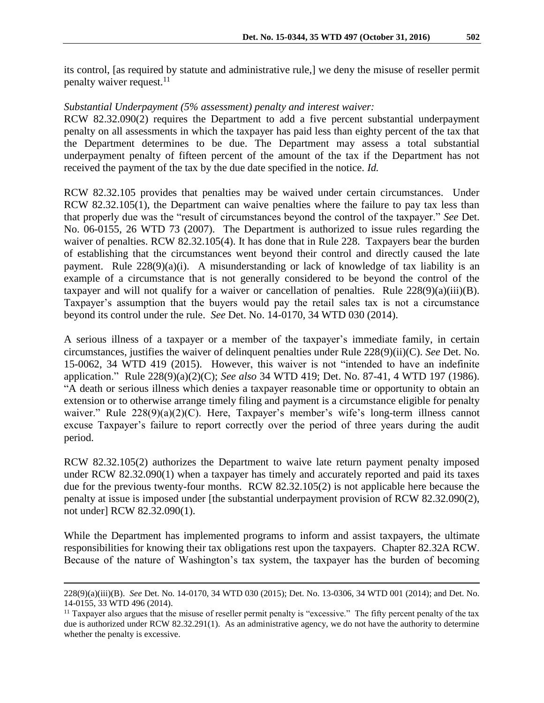its control, [as required by statute and administrative rule,] we deny the misuse of reseller permit penalty waiver request.<sup>11</sup>

## *Substantial Underpayment (5% assessment) penalty and interest waiver:*

RCW 82.32.090(2) requires the Department to add a five percent substantial underpayment penalty on all assessments in which the taxpayer has paid less than eighty percent of the tax that the Department determines to be due. The Department may assess a total substantial underpayment penalty of fifteen percent of the amount of the tax if the Department has not received the payment of the tax by the due date specified in the notice. *Id.*

RCW 82.32.105 provides that penalties may be waived under certain circumstances. Under RCW 82.32.105(1), the Department can waive penalties where the failure to pay tax less than that properly due was the "result of circumstances beyond the control of the taxpayer." *See* Det. No. 06-0155, 26 WTD 73 (2007). The Department is authorized to issue rules regarding the waiver of penalties. RCW 82.32.105(4). It has done that in Rule 228. Taxpayers bear the burden of establishing that the circumstances went beyond their control and directly caused the late payment. Rule 228(9)(a)(i). A misunderstanding or lack of knowledge of tax liability is an example of a circumstance that is not generally considered to be beyond the control of the taxpayer and will not qualify for a waiver or cancellation of penalties. Rule  $228(9)(a)(iii)(B)$ . Taxpayer's assumption that the buyers would pay the retail sales tax is not a circumstance beyond its control under the rule. *See* Det. No. 14-0170, 34 WTD 030 (2014).

A serious illness of a taxpayer or a member of the taxpayer's immediate family, in certain circumstances, justifies the waiver of delinquent penalties under Rule 228(9)(ii)(C). *See* Det. No. 15-0062, 34 WTD 419 (2015). However, this waiver is not "intended to have an indefinite application." Rule 228(9)(a)(2)(C); *See also* 34 WTD 419; Det. No. 87-41, 4 WTD 197 (1986). "A death or serious illness which denies a taxpayer reasonable time or opportunity to obtain an extension or to otherwise arrange timely filing and payment is a circumstance eligible for penalty waiver." Rule 228(9)(a)(2)(C). Here, Taxpayer's member's wife's long-term illness cannot excuse Taxpayer's failure to report correctly over the period of three years during the audit period.

RCW 82.32.105(2) authorizes the Department to waive late return payment penalty imposed under RCW 82.32.090(1) when a taxpayer has timely and accurately reported and paid its taxes due for the previous twenty-four months. RCW 82.32.105(2) is not applicable here because the penalty at issue is imposed under [the substantial underpayment provision of RCW 82.32.090(2), not under] RCW 82.32.090(1).

While the Department has implemented programs to inform and assist taxpayers, the ultimate responsibilities for knowing their tax obligations rest upon the taxpayers. Chapter 82.32A RCW. Because of the nature of Washington's tax system, the taxpayer has the burden of becoming

<sup>228(9)(</sup>a)(iii)(B). *See* Det. No. 14-0170, 34 WTD 030 (2015); Det. No. 13-0306, 34 WTD 001 (2014); and Det. No. 14-0155, 33 WTD 496 (2014).

 $<sup>11</sup>$  Taxpayer also argues that the misuse of reseller permit penalty is "excessive." The fifty percent penalty of the tax</sup> due is authorized under RCW 82.32.291(1). As an administrative agency, we do not have the authority to determine whether the penalty is excessive.